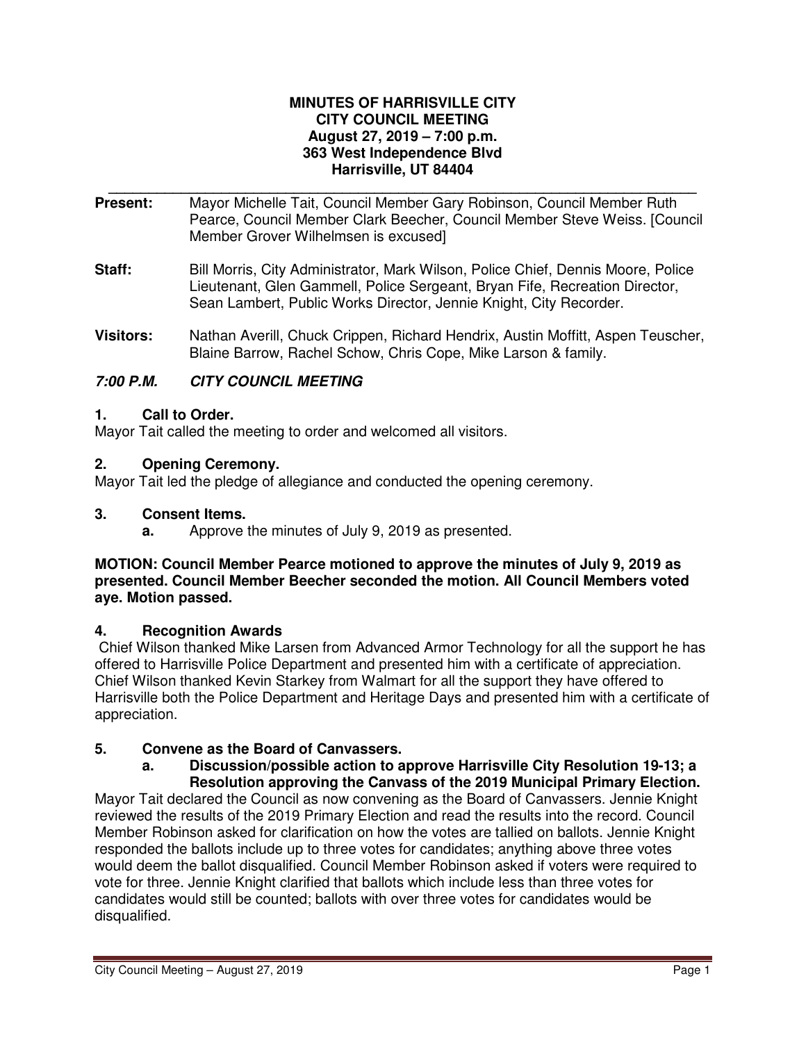#### **MINUTES OF HARRISVILLE CITY CITY COUNCIL MEETING August 27, 2019 – 7:00 p.m. 363 West Independence Blvd Harrisville, UT 84404**

- **\_\_\_\_\_\_\_\_\_\_\_\_\_\_\_\_\_\_\_\_\_\_\_\_\_\_\_\_\_\_\_\_\_\_\_\_\_\_\_\_\_\_\_\_\_\_\_\_\_\_\_\_\_\_\_\_\_\_\_\_\_\_\_\_\_\_\_\_\_\_\_\_\_ Present:** Mayor Michelle Tait, Council Member Gary Robinson, Council Member Ruth Pearce, Council Member Clark Beecher, Council Member Steve Weiss. [Council Member Grover Wilhelmsen is excused]
- **Staff:** Bill Morris, City Administrator, Mark Wilson, Police Chief, Dennis Moore, Police Lieutenant, Glen Gammell, Police Sergeant, Bryan Fife, Recreation Director, Sean Lambert, Public Works Director, Jennie Knight, City Recorder.
- **Visitors:** Nathan Averill, Chuck Crippen, Richard Hendrix, Austin Moffitt, Aspen Teuscher, Blaine Barrow, Rachel Schow, Chris Cope, Mike Larson & family.

# **7:00 P.M. CITY COUNCIL MEETING**

# **1. Call to Order.**

Mayor Tait called the meeting to order and welcomed all visitors.

### **2. Opening Ceremony.**

Mayor Tait led the pledge of allegiance and conducted the opening ceremony.

#### **3. Consent Items.**

**a.** Approve the minutes of July 9, 2019 as presented.

#### **MOTION: Council Member Pearce motioned to approve the minutes of July 9, 2019 as presented. Council Member Beecher seconded the motion. All Council Members voted aye. Motion passed.**

#### **4. Recognition Awards**

Chief Wilson thanked Mike Larsen from Advanced Armor Technology for all the support he has offered to Harrisville Police Department and presented him with a certificate of appreciation. Chief Wilson thanked Kevin Starkey from Walmart for all the support they have offered to Harrisville both the Police Department and Heritage Days and presented him with a certificate of appreciation.

# **5. Convene as the Board of Canvassers.**

#### **a. Discussion/possible action to approve Harrisville City Resolution 19-13; a Resolution approving the Canvass of the 2019 Municipal Primary Election.**

Mayor Tait declared the Council as now convening as the Board of Canvassers. Jennie Knight reviewed the results of the 2019 Primary Election and read the results into the record. Council Member Robinson asked for clarification on how the votes are tallied on ballots. Jennie Knight responded the ballots include up to three votes for candidates; anything above three votes would deem the ballot disqualified. Council Member Robinson asked if voters were required to vote for three. Jennie Knight clarified that ballots which include less than three votes for candidates would still be counted; ballots with over three votes for candidates would be disqualified.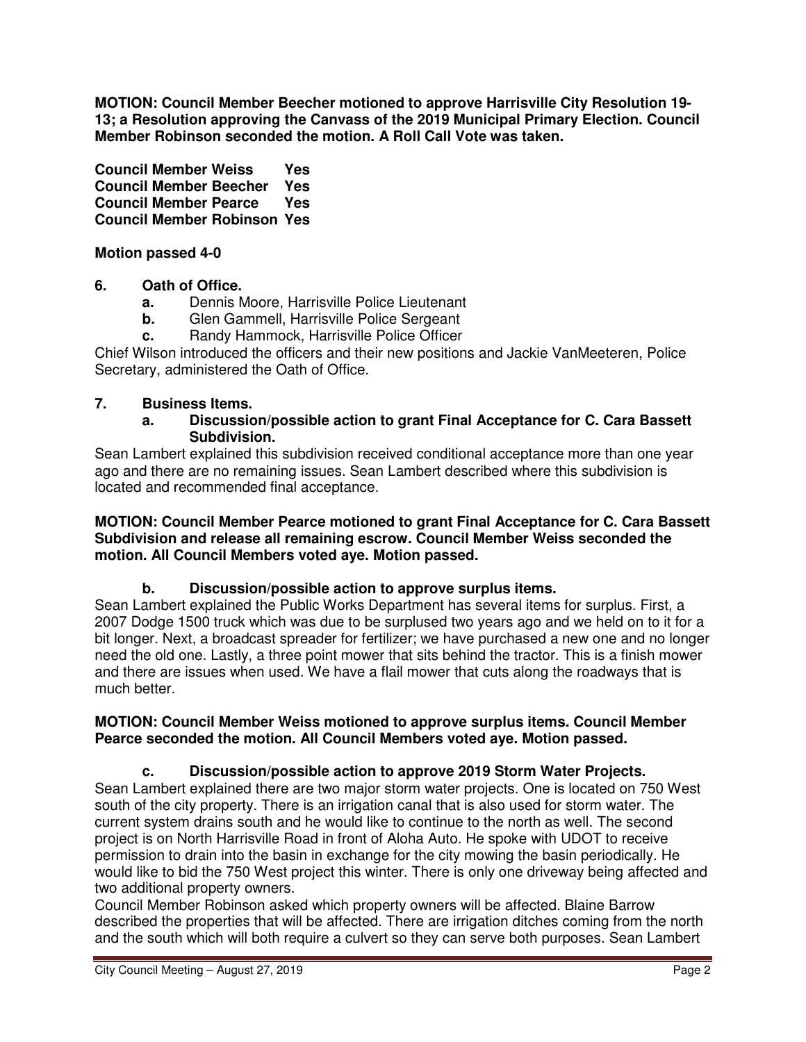**MOTION: Council Member Beecher motioned to approve Harrisville City Resolution 19- 13; a Resolution approving the Canvass of the 2019 Municipal Primary Election. Council Member Robinson seconded the motion. A Roll Call Vote was taken.**

**Council Member Weiss Yes Council Member Beecher Yes Council Member Pearce Yes Council Member Robinson Yes**

**Motion passed 4-0**

# **6. Oath of Office.**

- **a.** Dennis Moore, Harrisville Police Lieutenant
- **b.** Glen Gammell, Harrisville Police Sergeant
- **c.** Randy Hammock, Harrisville Police Officer

Chief Wilson introduced the officers and their new positions and Jackie VanMeeteren, Police Secretary, administered the Oath of Office.

# **7. Business Items.**

**a. Discussion/possible action to grant Final Acceptance for C. Cara Bassett Subdivision.**

Sean Lambert explained this subdivision received conditional acceptance more than one year ago and there are no remaining issues. Sean Lambert described where this subdivision is located and recommended final acceptance.

**MOTION: Council Member Pearce motioned to grant Final Acceptance for C. Cara Bassett Subdivision and release all remaining escrow. Council Member Weiss seconded the motion. All Council Members voted aye. Motion passed.**

# **b. Discussion/possible action to approve surplus items.**

Sean Lambert explained the Public Works Department has several items for surplus. First, a 2007 Dodge 1500 truck which was due to be surplused two years ago and we held on to it for a bit longer. Next, a broadcast spreader for fertilizer; we have purchased a new one and no longer need the old one. Lastly, a three point mower that sits behind the tractor. This is a finish mower and there are issues when used. We have a flail mower that cuts along the roadways that is much better.

### **MOTION: Council Member Weiss motioned to approve surplus items. Council Member Pearce seconded the motion. All Council Members voted aye. Motion passed.**

# **c. Discussion/possible action to approve 2019 Storm Water Projects.**

Sean Lambert explained there are two major storm water projects. One is located on 750 West south of the city property. There is an irrigation canal that is also used for storm water. The current system drains south and he would like to continue to the north as well. The second project is on North Harrisville Road in front of Aloha Auto. He spoke with UDOT to receive permission to drain into the basin in exchange for the city mowing the basin periodically. He would like to bid the 750 West project this winter. There is only one driveway being affected and two additional property owners.

Council Member Robinson asked which property owners will be affected. Blaine Barrow described the properties that will be affected. There are irrigation ditches coming from the north and the south which will both require a culvert so they can serve both purposes. Sean Lambert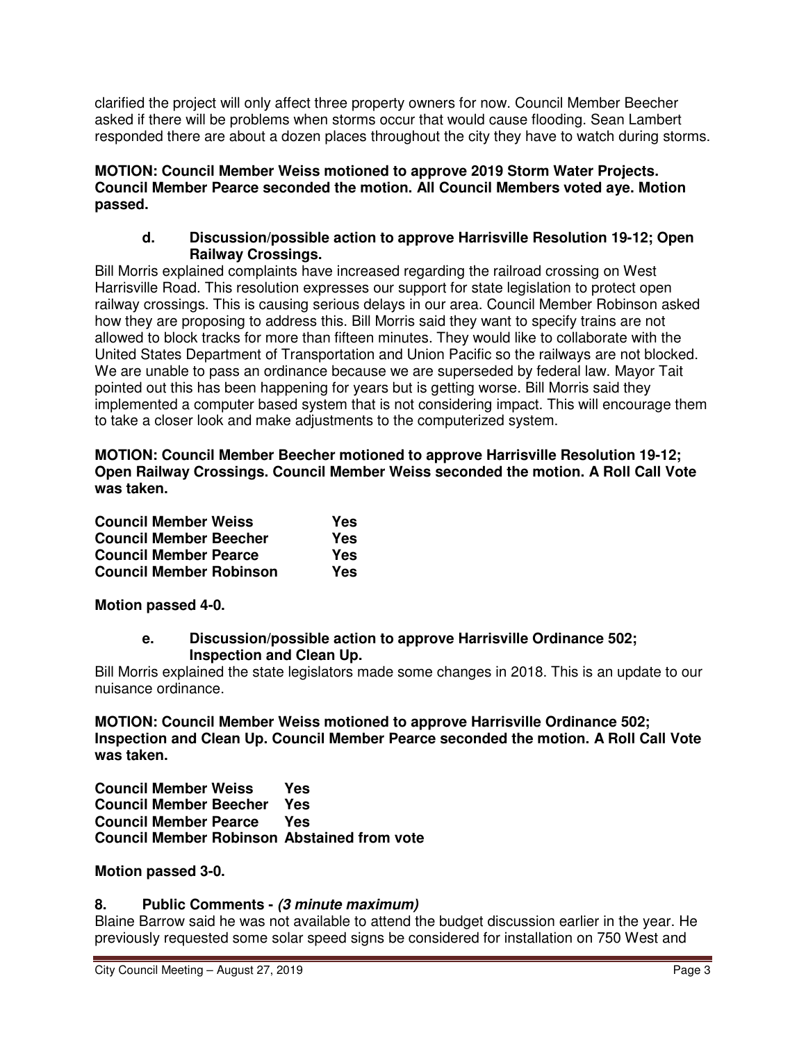clarified the project will only affect three property owners for now. Council Member Beecher asked if there will be problems when storms occur that would cause flooding. Sean Lambert responded there are about a dozen places throughout the city they have to watch during storms.

#### **MOTION: Council Member Weiss motioned to approve 2019 Storm Water Projects. Council Member Pearce seconded the motion. All Council Members voted aye. Motion passed.**

### **d. Discussion/possible action to approve Harrisville Resolution 19-12; Open Railway Crossings.**

Bill Morris explained complaints have increased regarding the railroad crossing on West Harrisville Road. This resolution expresses our support for state legislation to protect open railway crossings. This is causing serious delays in our area. Council Member Robinson asked how they are proposing to address this. Bill Morris said they want to specify trains are not allowed to block tracks for more than fifteen minutes. They would like to collaborate with the United States Department of Transportation and Union Pacific so the railways are not blocked. We are unable to pass an ordinance because we are superseded by federal law. Mayor Tait pointed out this has been happening for years but is getting worse. Bill Morris said they implemented a computer based system that is not considering impact. This will encourage them to take a closer look and make adjustments to the computerized system.

**MOTION: Council Member Beecher motioned to approve Harrisville Resolution 19-12; Open Railway Crossings. Council Member Weiss seconded the motion. A Roll Call Vote was taken.**

| <b>Council Member Weiss</b><br><b>Council Member Beecher</b><br><b>Council Member Pearce</b><br><b>Council Member Robinson</b> | Yes<br>Yes<br>Yes<br>Yes |
|--------------------------------------------------------------------------------------------------------------------------------|--------------------------|
|--------------------------------------------------------------------------------------------------------------------------------|--------------------------|

**Motion passed 4-0.** 

### **e. Discussion/possible action to approve Harrisville Ordinance 502; Inspection and Clean Up.**

Bill Morris explained the state legislators made some changes in 2018. This is an update to our nuisance ordinance.

**MOTION: Council Member Weiss motioned to approve Harrisville Ordinance 502; Inspection and Clean Up. Council Member Pearce seconded the motion. A Roll Call Vote was taken.** 

**Council Member Weiss Yes Council Member Beecher Yes Council Member Pearce Yes Council Member Robinson Abstained from vote** 

# **Motion passed 3-0.**

# **8. Public Comments - (3 minute maximum)**

Blaine Barrow said he was not available to attend the budget discussion earlier in the year. He previously requested some solar speed signs be considered for installation on 750 West and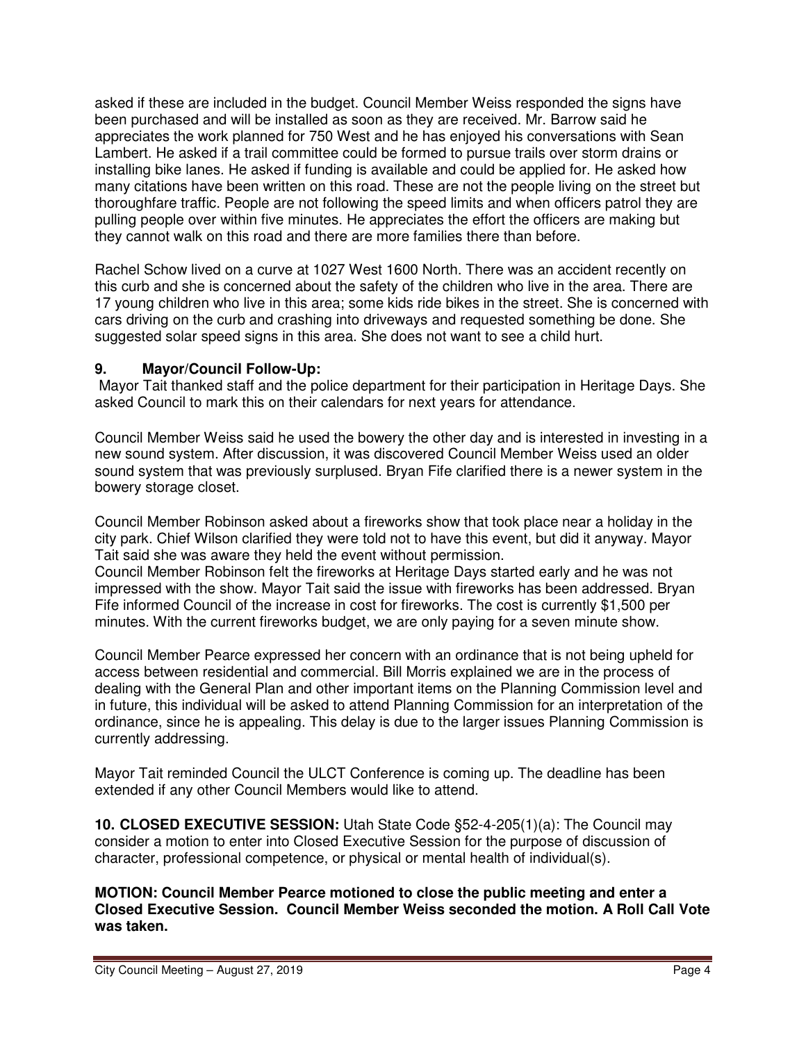asked if these are included in the budget. Council Member Weiss responded the signs have been purchased and will be installed as soon as they are received. Mr. Barrow said he appreciates the work planned for 750 West and he has enjoyed his conversations with Sean Lambert. He asked if a trail committee could be formed to pursue trails over storm drains or installing bike lanes. He asked if funding is available and could be applied for. He asked how many citations have been written on this road. These are not the people living on the street but thoroughfare traffic. People are not following the speed limits and when officers patrol they are pulling people over within five minutes. He appreciates the effort the officers are making but they cannot walk on this road and there are more families there than before.

Rachel Schow lived on a curve at 1027 West 1600 North. There was an accident recently on this curb and she is concerned about the safety of the children who live in the area. There are 17 young children who live in this area; some kids ride bikes in the street. She is concerned with cars driving on the curb and crashing into driveways and requested something be done. She suggested solar speed signs in this area. She does not want to see a child hurt.

# **9. Mayor/Council Follow-Up:**

Mayor Tait thanked staff and the police department for their participation in Heritage Days. She asked Council to mark this on their calendars for next years for attendance.

Council Member Weiss said he used the bowery the other day and is interested in investing in a new sound system. After discussion, it was discovered Council Member Weiss used an older sound system that was previously surplused. Bryan Fife clarified there is a newer system in the bowery storage closet.

Council Member Robinson asked about a fireworks show that took place near a holiday in the city park. Chief Wilson clarified they were told not to have this event, but did it anyway. Mayor Tait said she was aware they held the event without permission.

Council Member Robinson felt the fireworks at Heritage Days started early and he was not impressed with the show. Mayor Tait said the issue with fireworks has been addressed. Bryan Fife informed Council of the increase in cost for fireworks. The cost is currently \$1,500 per minutes. With the current fireworks budget, we are only paying for a seven minute show.

Council Member Pearce expressed her concern with an ordinance that is not being upheld for access between residential and commercial. Bill Morris explained we are in the process of dealing with the General Plan and other important items on the Planning Commission level and in future, this individual will be asked to attend Planning Commission for an interpretation of the ordinance, since he is appealing. This delay is due to the larger issues Planning Commission is currently addressing.

Mayor Tait reminded Council the ULCT Conference is coming up. The deadline has been extended if any other Council Members would like to attend.

**10. CLOSED EXECUTIVE SESSION:** Utah State Code §52-4-205(1)(a): The Council may consider a motion to enter into Closed Executive Session for the purpose of discussion of character, professional competence, or physical or mental health of individual(s).

**MOTION: Council Member Pearce motioned to close the public meeting and enter a Closed Executive Session. Council Member Weiss seconded the motion. A Roll Call Vote was taken.**